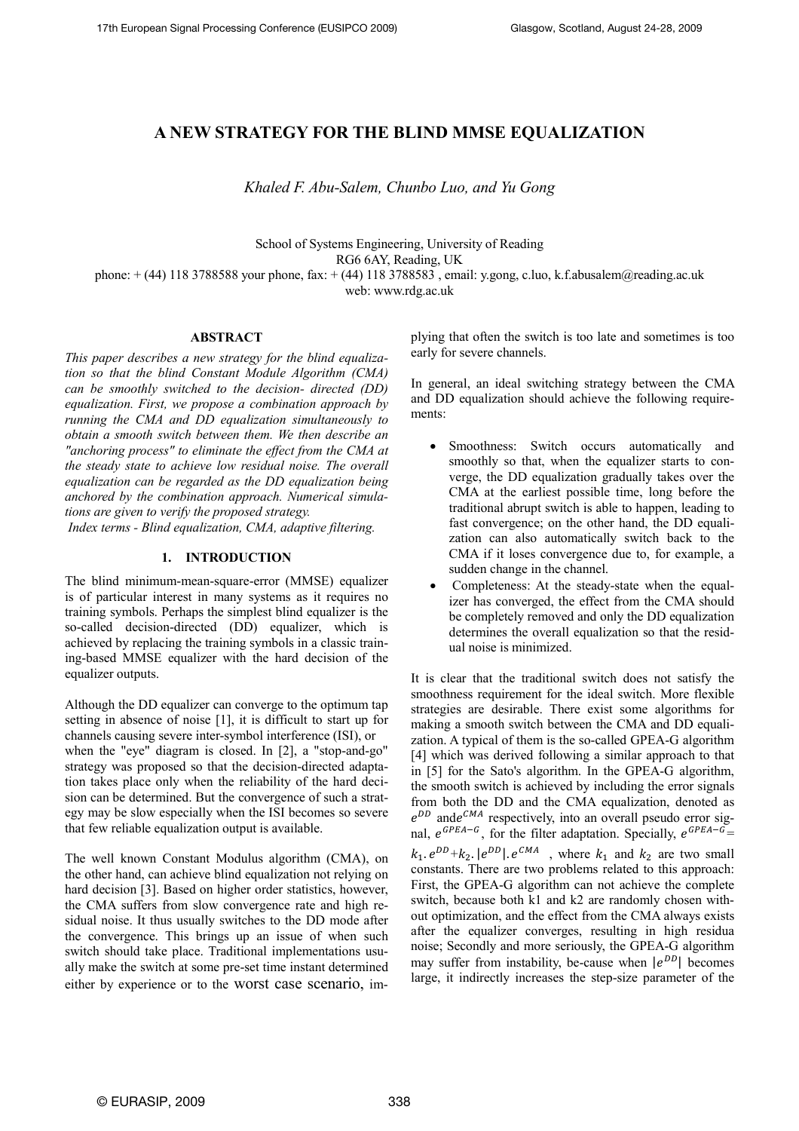# A NEW STRATEGY FOR THE BLIND MMSE EQUALIZATION

Khaled F. Abu-Salem, Chunbo Luo, and Yu Gong

School of Systems Engineering, University of Reading RG6 6AY, Reading, UK

phone: + (44) 118 3788588 your phone, fax: + (44) 118 3788583 , email: y.gong, c.luo, k.f.abusalem@reading.ac.uk

web: www.rdg.ac.uk

### ABSTRACT

This paper describes a new strategy for the blind equalization so that the blind Constant Module Algorithm (CMA) can be smoothly switched to the decision- directed (DD) equalization. First, we propose a combination approach by running the CMA and DD equalization simultaneously to obtain a smooth switch between them. We then describe an "anchoring process" to eliminate the effect from the CMA at the steady state to achieve low residual noise. The overall equalization can be regarded as the DD equalization being anchored by the combination approach. Numerical simulations are given to verify the proposed strategy.

Index terms - Blind equalization, CMA, adaptive filtering.

### 1. INTRODUCTION

The blind minimum-mean-square-error (MMSE) equalizer is of particular interest in many systems as it requires no training symbols. Perhaps the simplest blind equalizer is the so-called decision-directed (DD) equalizer, which is achieved by replacing the training symbols in a classic training-based MMSE equalizer with the hard decision of the equalizer outputs.

Although the DD equalizer can converge to the optimum tap setting in absence of noise [1], it is difficult to start up for channels causing severe inter-symbol interference (ISI), or when the "eye" diagram is closed. In [2], a "stop-and-go" strategy was proposed so that the decision-directed adaptation takes place only when the reliability of the hard decision can be determined. But the convergence of such a strategy may be slow especially when the ISI becomes so severe that few reliable equalization output is available.

The well known Constant Modulus algorithm (CMA), on the other hand, can achieve blind equalization not relying on hard decision [3]. Based on higher order statistics, however, the CMA suffers from slow convergence rate and high residual noise. It thus usually switches to the DD mode after the convergence. This brings up an issue of when such switch should take place. Traditional implementations usually make the switch at some pre-set time instant determined either by experience or to the worst case scenario, implying that often the switch is too late and sometimes is too early for severe channels.

In general, an ideal switching strategy between the CMA and DD equalization should achieve the following requirements:

- Smoothness: Switch occurs automatically and smoothly so that, when the equalizer starts to converge, the DD equalization gradually takes over the CMA at the earliest possible time, long before the traditional abrupt switch is able to happen, leading to fast convergence; on the other hand, the DD equalization can also automatically switch back to the CMA if it loses convergence due to, for example, a sudden change in the channel.
- Completeness: At the steady-state when the equalizer has converged, the effect from the CMA should be completely removed and only the DD equalization determines the overall equalization so that the residual noise is minimized.

It is clear that the traditional switch does not satisfy the smoothness requirement for the ideal switch. More flexible strategies are desirable. There exist some algorithms for making a smooth switch between the CMA and DD equalization. A typical of them is the so-called GPEA-G algorithm [4] which was derived following a similar approach to that in [5] for the Sato's algorithm. In the GPEA-G algorithm, the smooth switch is achieved by including the error signals from both the DD and the CMA equalization, denoted as  $e^{DD}$  and  $e^{CMA}$  respectively, into an overall pseudo error signal,  $e^{GPEA-G}$ , for the filter adaptation. Specially,  $e^{GPEA-G}$  $k_1$  e<sup>DD</sup>+ $k_2$  |e<sup>DD</sup>| e<sup>CMA</sup>, where  $k_1$  and  $k_2$  are two small constants. There are two problems related to this approach: First, the GPEA-G algorithm can not achieve the complete switch, because both k1 and k2 are randomly chosen without optimization, and the effect from the CMA always exists after the equalizer converges, resulting in high residua noise; Secondly and more seriously, the GPEA-G algorithm may suffer from instability, be-cause when  $|e^{DD}|$  becomes large, it indirectly increases the step-size parameter of the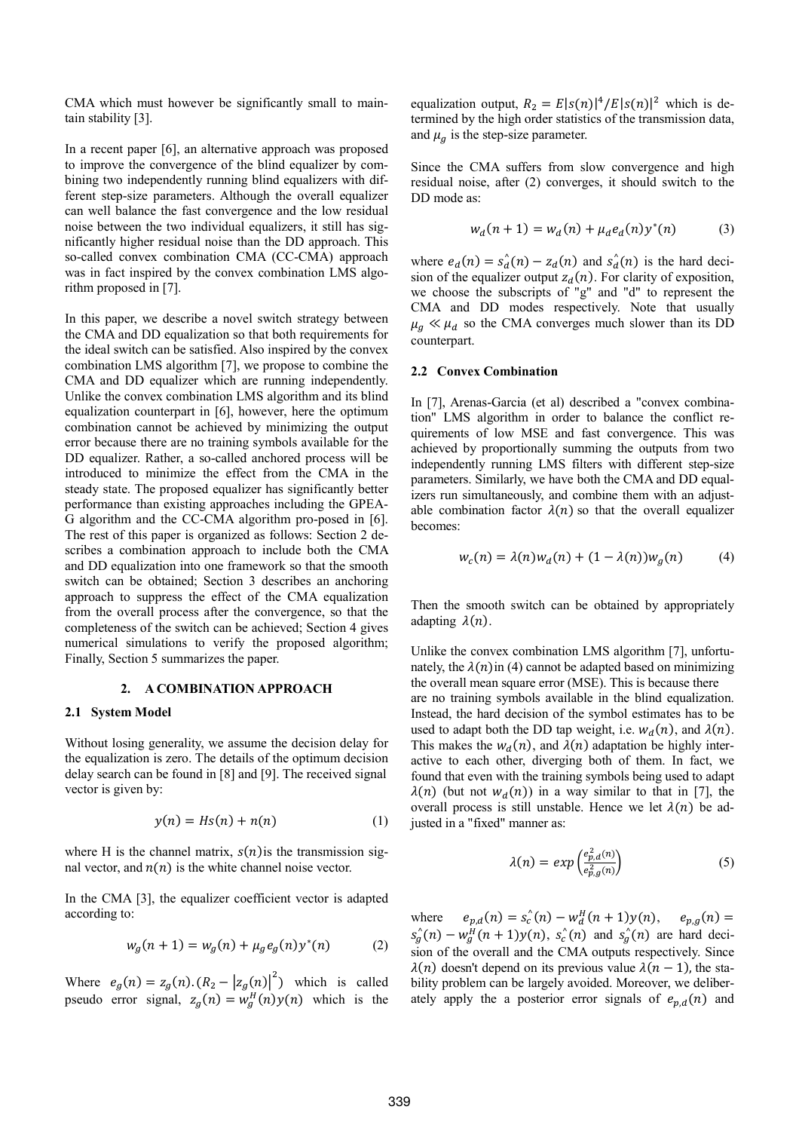CMA which must however be significantly small to maintain stability [3].

In a recent paper [6], an alternative approach was proposed to improve the convergence of the blind equalizer by combining two independently running blind equalizers with different step-size parameters. Although the overall equalizer can well balance the fast convergence and the low residual noise between the two individual equalizers, it still has significantly higher residual noise than the DD approach. This so-called convex combination CMA (CC-CMA) approach was in fact inspired by the convex combination LMS algorithm proposed in [7].

In this paper, we describe a novel switch strategy between the CMA and DD equalization so that both requirements for the ideal switch can be satisfied. Also inspired by the convex combination LMS algorithm [7], we propose to combine the CMA and DD equalizer which are running independently. Unlike the convex combination LMS algorithm and its blind equalization counterpart in [6], however, here the optimum combination cannot be achieved by minimizing the output error because there are no training symbols available for the DD equalizer. Rather, a so-called anchored process will be introduced to minimize the effect from the CMA in the steady state. The proposed equalizer has significantly better performance than existing approaches including the GPEA-G algorithm and the CC-CMA algorithm pro-posed in [6]. The rest of this paper is organized as follows: Section 2 describes a combination approach to include both the CMA and DD equalization into one framework so that the smooth switch can be obtained; Section 3 describes an anchoring approach to suppress the effect of the CMA equalization from the overall process after the convergence, so that the completeness of the switch can be achieved; Section 4 gives numerical simulations to verify the proposed algorithm; Finally, Section 5 summarizes the paper.

#### 2. A COMBINATION APPROACH

#### 2.1 System Model

Without losing generality, we assume the decision delay for the equalization is zero. The details of the optimum decision delay search can be found in [8] and [9]. The received signal vector is given by:

$$
y(n) = Hs(n) + n(n) \tag{1}
$$

where H is the channel matrix,  $s(n)$  is the transmission signal vector, and  $n(n)$  is the white channel noise vector.

In the CMA [3], the equalizer coefficient vector is adapted according to:

$$
w_g(n+1) = w_g(n) + \mu_g e_g(n) y^*(n) \tag{2}
$$

Where  $e_g(n) = z_g(n) \cdot (R_2 - |z_g(n)|^2)$  which is called pseudo error signal,  $z_g(n) = w_g^H(n)y(n)$  which is the

equalization output,  $R_2 = E |s(n)|^4 / E |s(n)|^2$  which is determined by the high order statistics of the transmission data, and  $\mu_a$  is the step-size parameter.

Since the CMA suffers from slow convergence and high residual noise, after (2) converges, it should switch to the DD mode as:

$$
w_d(n+1) = w_d(n) + \mu_d e_d(n) y^*(n) \tag{3}
$$

where  $e_d(n) = s_d(n) - z_d(n)$  and  $s_d(n)$  is the hard decision of the equalizer output  $z_d(n)$ . For clarity of exposition, we choose the subscripts of "g" and "d" to represent the CMA and DD modes respectively. Note that usually  $\mu_a \ll \mu_d$  so the CMA converges much slower than its DD counterpart.

#### 2.2 Convex Combination

In [7], Arenas-Garcia (et al) described a "convex combination" LMS algorithm in order to balance the conflict requirements of low MSE and fast convergence. This was achieved by proportionally summing the outputs from two independently running LMS filters with different step-size parameters. Similarly, we have both the CMA and DD equalizers run simultaneously, and combine them with an adjustable combination factor  $\lambda(n)$  so that the overall equalizer becomes:

$$
w_c(n) = \lambda(n)w_d(n) + (1 - \lambda(n))w_g(n) \tag{4}
$$

Then the smooth switch can be obtained by appropriately adapting  $\lambda(n)$ .

Unlike the convex combination LMS algorithm [7], unfortunately, the  $\lambda(n)$  in (4) cannot be adapted based on minimizing the overall mean square error (MSE). This is because there are no training symbols available in the blind equalization. Instead, the hard decision of the symbol estimates has to be used to adapt both the DD tap weight, i.e.  $w_d(n)$ , and  $\lambda(n)$ . This makes the  $w_d(n)$ , and  $\lambda(n)$  adaptation be highly interactive to each other, diverging both of them. In fact, we found that even with the training symbols being used to adapt  $\lambda(n)$  (but not  $w_d(n)$ ) in a way similar to that in [7], the overall process is still unstable. Hence we let  $\lambda(n)$  be adjusted in a "fixed" manner as:

$$
\lambda(n) = exp\left(\frac{e_{p,d}^2(n)}{e_{p,g}^2(n)}\right) \tag{5}
$$

where  $e_{p,d}(n) = s_c^{\hat{}}(n) - w_d^H(n+1)y(n), \quad e_{p,g}(n) =$  $s_g^{\hat{}}(n) - w_g^H(n+1)y(n), s_c^{\hat{}}(n)$  and  $s_g^{\hat{}}(n)$  are hard decision of the overall and the CMA outputs respectively. Since  $\lambda(n)$  doesn't depend on its previous value  $\lambda(n-1)$ , the stability problem can be largely avoided. Moreover, we deliberately apply the a posterior error signals of  $e_{p,d}(n)$  and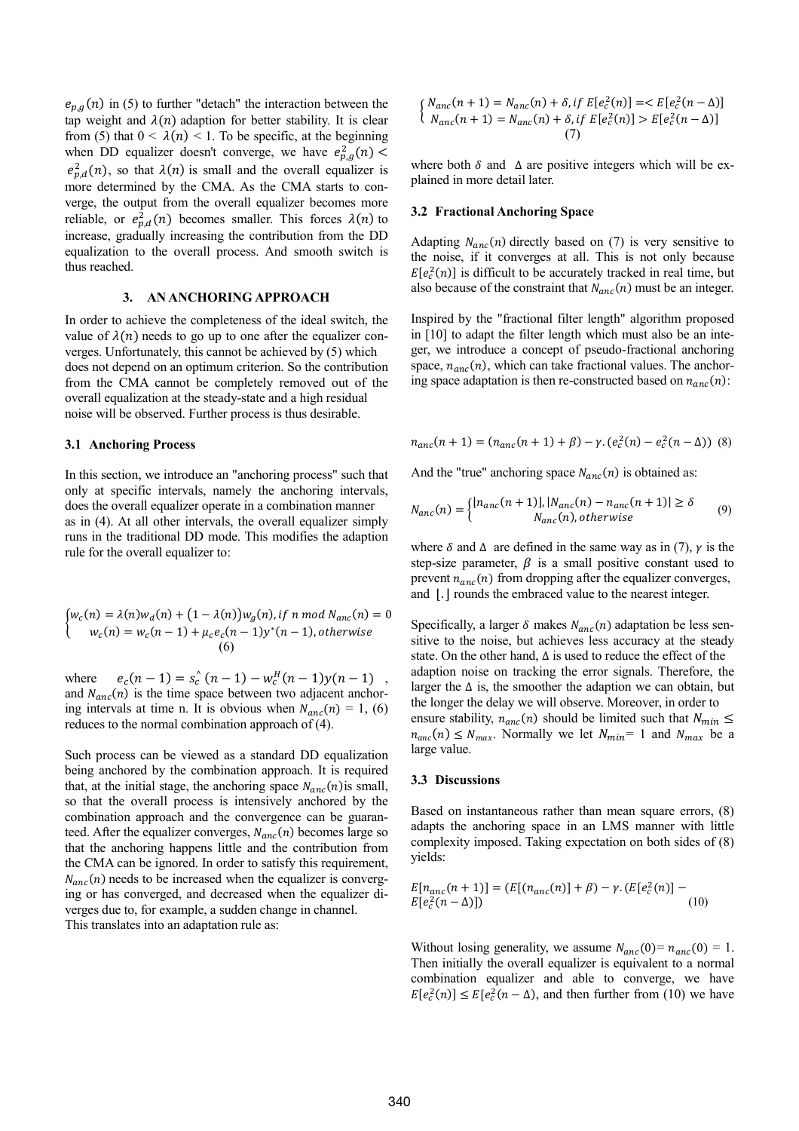$e_{p,q}(n)$  in (5) to further "detach" the interaction between the tap weight and  $\lambda(n)$  adaption for better stability. It is clear from (5) that  $0 < \lambda(n) < 1$ . To be specific, at the beginning when DD equalizer doesn't converge, we have  $e_{p,g}^2(n)$  <  $e_{p,d}^2(n)$ , so that  $\lambda(n)$  is small and the overall equalizer is more determined by the CMA. As the CMA starts to converge, the output from the overall equalizer becomes more reliable, or  $e_{p,d}^2(n)$  becomes smaller. This forces  $\lambda(n)$  to increase, gradually increasing the contribution from the DD equalization to the overall process. And smooth switch is thus reached.

### 3. AN ANCHORING APPROACH

In order to achieve the completeness of the ideal switch, the value of  $\lambda(n)$  needs to go up to one after the equalizer converges. Unfortunately, this cannot be achieved by (5) which does not depend on an optimum criterion. So the contribution from the CMA cannot be completely removed out of the overall equalization at the steady-state and a high residual noise will be observed. Further process is thus desirable.

#### 3.1 Anchoring Process

In this section, we introduce an "anchoring process" such that only at specific intervals, namely the anchoring intervals, does the overall equalizer operate in a combination manner as in (4). At all other intervals, the overall equalizer simply runs in the traditional DD mode. This modifies the adaption rule for the overall equalizer to:

$$
\begin{cases} w_c(n) = \lambda(n)w_d(n) + (1 - \lambda(n))w_g(n), \text{if } n \bmod N_{anc}(n) = 0\\ w_c(n) = w_c(n-1) + \mu_c e_c(n-1)y^*(n-1), \text{otherwise} \end{cases}
$$
  
(6)

where  $(n-1) = s_c^(n-1) - w_c^H(n-1)y(n-1)$ , and  $N_{anc}(n)$  is the time space between two adjacent anchoring intervals at time n. It is obvious when  $N_{anc}(n) = 1$ , (6) reduces to the normal combination approach of (4).

Such process can be viewed as a standard DD equalization being anchored by the combination approach. It is required that, at the initial stage, the anchoring space  $N_{anc}(n)$  is small, so that the overall process is intensively anchored by the combination approach and the convergence can be guaranteed. After the equalizer converges,  $N_{anc}(n)$  becomes large so that the anchoring happens little and the contribution from the CMA can be ignored. In order to satisfy this requirement,  $N_{anc}(n)$  needs to be increased when the equalizer is converging or has converged, and decreased when the equalizer diverges due to, for example, a sudden change in channel. This translates into an adaptation rule as:

$$
\begin{cases} N_{anc}(n+1) = N_{anc}(n) + \delta, if E[e_c^2(n)] = < E[e_c^2(n-\Delta)] \\ N_{anc}(n+1) = N_{anc}(n) + \delta, if E[e_c^2(n)] > E[e_c^2(n-\Delta)] \end{cases}
$$
  
(7)

where both  $\delta$  and  $\Delta$  are positive integers which will be explained in more detail later.

#### 3.2 Fractional Anchoring Space

Adapting  $N_{anc}(n)$  directly based on (7) is very sensitive to the noise, if it converges at all. This is not only because  $E[e_c^2(n)]$  is difficult to be accurately tracked in real time, but also because of the constraint that  $N_{anc}(n)$  must be an integer.

Inspired by the "fractional filter length" algorithm proposed in [10] to adapt the filter length which must also be an integer, we introduce a concept of pseudo-fractional anchoring space,  $n_{anc}(n)$ , which can take fractional values. The anchoring space adaptation is then re-constructed based on  $n_{anc}(n)$ :

$$
n_{anc}(n+1) = (n_{anc}(n+1) + \beta) - \gamma \cdot (e_c^2(n) - e_c^2(n-\Delta))
$$
 (8)

And the "true" anchoring space  $N_{anc}(n)$  is obtained as:

$$
N_{anc}(n) = \begin{cases} [n_{anc}(n+1)], |N_{anc}(n) - n_{anc}(n+1)| \ge \delta \\ N_{anc}(n), otherwise \end{cases}
$$
 (9)

where  $\delta$  and  $\Delta$  are defined in the same way as in (7),  $\gamma$  is the step-size parameter,  $\beta$  is a small positive constant used to prevent  $n_{anc}(n)$  from dropping after the equalizer converges, and [.] rounds the embraced value to the nearest integer.

Specifically, a larger  $\delta$  makes  $N_{anc}(n)$  adaptation be less sensitive to the noise, but achieves less accuracy at the steady state. On the other hand,  $\Delta$  is used to reduce the effect of the adaption noise on tracking the error signals. Therefore, the larger the  $\Delta$  is, the smoother the adaption we can obtain, but the longer the delay we will observe. Moreover, in order to ensure stability,  $n_{anc}(n)$  should be limited such that  $N_{min} \leq$  $n_{anc}(n) \leq N_{max}$ . Normally we let  $N_{min} = 1$  and  $N_{max}$  be a large value.

### 3.3 Discussions

Based on instantaneous rather than mean square errors, (8) adapts the anchoring space in an LMS manner with little complexity imposed. Taking expectation on both sides of (8) yields:

$$
E[n_{anc}(n+1)] = (E[(n_{anc}(n)] + \beta) - \gamma.(E[e_c^2(n)] - E[e_c^2(n-1)])
$$
\n(10)

Without losing generality, we assume  $N_{anc}(0) = n_{anc}(0) = 1$ . Then initially the overall equalizer is equivalent to a normal combination equalizer and able to converge, we have  $E[e_c^2(n)] \le E[e_c^2(n-\Delta)]$ , and then further from (10) we have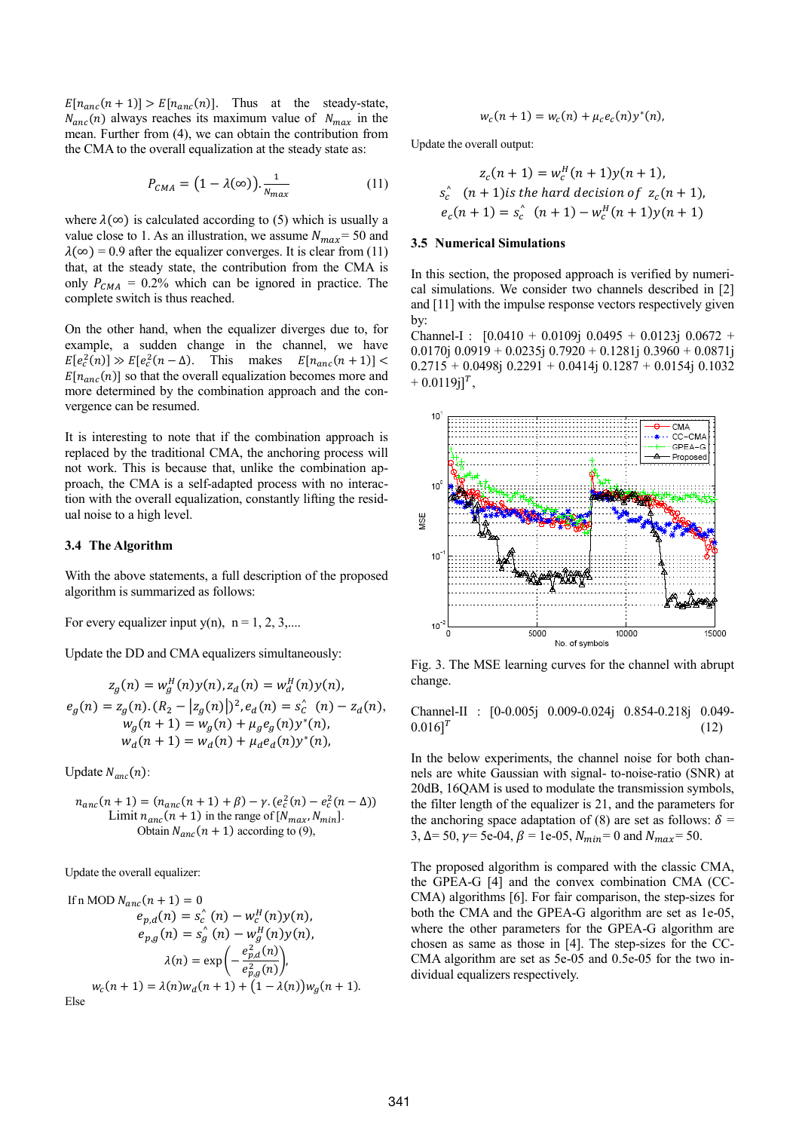$E[n_{anc}(n+1)] > E[n_{anc}(n)]$ . Thus at the steady-state,  $N_{anc}(n)$  always reaches its maximum value of  $N_{max}$  in the mean. Further from (4), we can obtain the contribution from the CMA to the overall equalization at the steady state as:

$$
P_{CMA} = (1 - \lambda(\infty)) \cdot \frac{1}{N_{max}} \tag{11}
$$

where  $\lambda(\infty)$  is calculated according to (5) which is usually a value close to 1. As an illustration, we assume  $N_{max} = 50$  and  $\lambda(\infty) = 0.9$  after the equalizer converges. It is clear from (11) that, at the steady state, the contribution from the CMA is only  $P_{CMA} = 0.2\%$  which can be ignored in practice. The complete switch is thus reached.

On the other hand, when the equalizer diverges due to, for example, a sudden change in the channel, we have  $E[e_c^2(n)] \gg E[e_c^2(n-\Delta)]$ . This makes  $E[n_{anc}(n+1)]$  <  $E[n_{anc}(n)]$  so that the overall equalization becomes more and more determined by the combination approach and the convergence can be resumed.

It is interesting to note that if the combination approach is replaced by the traditional CMA, the anchoring process will not work. This is because that, unlike the combination approach, the CMA is a self-adapted process with no interaction with the overall equalization, constantly lifting the residual noise to a high level.

#### 3.4 The Algorithm

With the above statements, a full description of the proposed algorithm is summarized as follows:

For every equalizer input  $y(n)$ ,  $n = 1, 2, 3, \dots$ 

Update the DD and CMA equalizers simultaneously:

$$
z_g(n) = w_g^H(n)y(n), z_d(n) = w_d^H(n)y(n),
$$
  
\n
$$
e_g(n) = z_g(n). (R_2 - |z_g(n)|)^2, e_d(n) = s_c^(n) - z_d(n),
$$
  
\n
$$
w_g(n + 1) = w_g(n) + \mu_g e_g(n)y^*(n),
$$
  
\n
$$
w_d(n + 1) = w_d(n) + \mu_d e_d(n)y^*(n),
$$

Update  $N_{anc}(n)$ :

$$
n_{anc}(n+1) = (n_{anc}(n+1) + \beta) - \gamma \cdot (e_c^2(n) - e_c^2(n-\Delta))
$$
  
Limit  $n_{anc}(n+1)$  in the range of  $[N_{max}, N_{min}]$ .  
Obtain  $N_{anc}(n+1)$  according to (9),

Update the overall equalizer:

If n MOD 
$$
N_{anc}(n + 1) = 0
$$
  
\n
$$
e_{p,d}(n) = s_c^(n) - w_c^H(n)y(n),
$$
\n
$$
e_{p,g}(n) = s_g^(n) - w_g^H(n)y(n),
$$
\n
$$
\lambda(n) = \exp\left(-\frac{e_{p,d}^2(n)}{e_{p,g}^2(n)}\right),
$$
\n
$$
w_c(n + 1) = \lambda(n)w_d(n + 1) + (1 - \lambda(n))w_g(n + 1).
$$
\nElse

 $w_c(n + 1) = w_c(n) + \mu_c e_c(n) y^*(n),$ 

Update the overall output:

$$
z_c(n + 1) = w_c^H(n + 1)y(n + 1),
$$
  
s<sub>c</sub><sup>^</sup> (n + 1) is the hard decision of  $z_c(n + 1)$ ,  
 $e_c(n + 1) = s_c^{\frown}(n + 1) - w_c^H(n + 1)y(n + 1)$ 

### 3.5 Numerical Simulations

In this section, the proposed approach is verified by numerical simulations. We consider two channels described in [2] and [11] with the impulse response vectors respectively given  $hv$ 

Channel-I :  $[0.0410 + 0.0109i] 0.0495 + 0.0123i] 0.0672 +$  $0.0170$ j  $0.0919 + 0.0235$ j  $0.7920 + 0.1281$ j  $0.3960 + 0.0871$ j  $0.2715 + 0.0498j$   $0.2291 + 0.0414j$   $0.1287 + 0.0154j$   $0.1032$  $+ 0.0119j]^T$ ,



Fig. 3. The MSE learning curves for the channel with abrupt change.

Channel-II : [0-0.005j 0.009-0.024j 0.854-0.218j 0.049-  $0.016]^{T}$  $(12)$ 

In the below experiments, the channel noise for both channels are white Gaussian with signal- to-noise-ratio (SNR) at 20dB, 16QAM is used to modulate the transmission symbols, the filter length of the equalizer is 21, and the parameters for the anchoring space adaptation of (8) are set as follows:  $\delta$  = 3,  $\Delta$ = 50,  $\gamma$ = 5e-04,  $\beta$  = 1e-05,  $N_{min}$  = 0 and  $N_{max}$  = 50.

The proposed algorithm is compared with the classic CMA, the GPEA-G [4] and the convex combination CMA (CC-CMA) algorithms [6]. For fair comparison, the step-sizes for both the CMA and the GPEA-G algorithm are set as 1e-05, where the other parameters for the GPEA-G algorithm are chosen as same as those in [4]. The step-sizes for the CC-CMA algorithm are set as 5e-05 and 0.5e-05 for the two individual equalizers respectively.